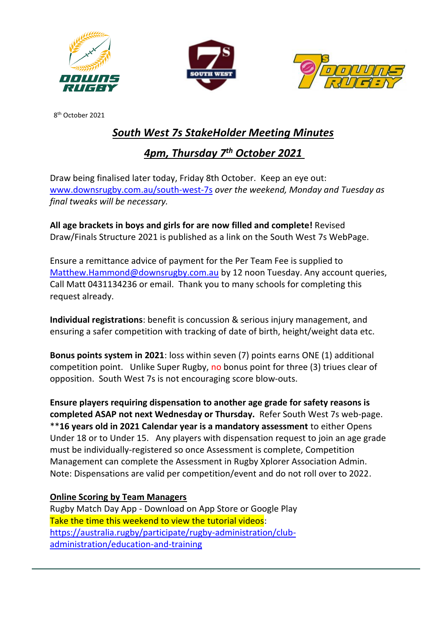





8 th October 2021

## *South West 7s StakeHolder Meeting Minutes*

## *4pm, Thursday 7th October 2021*

Draw being finalised later today, Friday 8th October. Keep an eye out: [www.downsrugby.com.au/south-west-7s](http://www.downsrugby.com.au/south-west-7s) *over the weekend, Monday and Tuesday as final tweaks will be necessary.*

**All age brackets in boys and girls for are now filled and complete!** Revised Draw/Finals Structure 2021 is published as a link on the South West 7s WebPage.

Ensure a remittance advice of payment for the Per Team Fee is supplied to [Matthew.Hammond@downsrugby.com.au](mailto:Matthew.Hammond@downsrugby.com.au) by 12 noon Tuesday. Any account queries, Call Matt 0431134236 or email. Thank you to many schools for completing this request already.

**Individual registrations**: benefit is concussion & serious injury management, and ensuring a safer competition with tracking of date of birth, height/weight data etc.

**Bonus points system in 2021**: loss within seven (7) points earns ONE (1) additional competition point. Unlike Super Rugby, no bonus point for three (3) triues clear of opposition. South West 7s is not encouraging score blow-outs.

**Ensure players requiring dispensation to another age grade for safety reasons is completed ASAP not next Wednesday or Thursday.** Refer South West 7s web-page. \*\***16 years old in 2021 Calendar year is a mandatory assessment** to either Opens Under 18 or to Under 15. Any players with dispensation request to join an age grade must be individually-registered so once Assessment is complete, Competition Management can complete the Assessment in Rugby Xplorer Association Admin. Note: Dispensations are valid per competition/event and do not roll over to 2022.

## **Online Scoring by Team Managers**

Rugby Match Day App - Download on App Store or Google Play Take the time this weekend to view the tutorial videos: [https://australia.rugby/participate/rugby-administration/club](https://australia.rugby/participate/rugby-administration/club-administration/education-and-training)[administration/education-and-training](https://australia.rugby/participate/rugby-administration/club-administration/education-and-training)